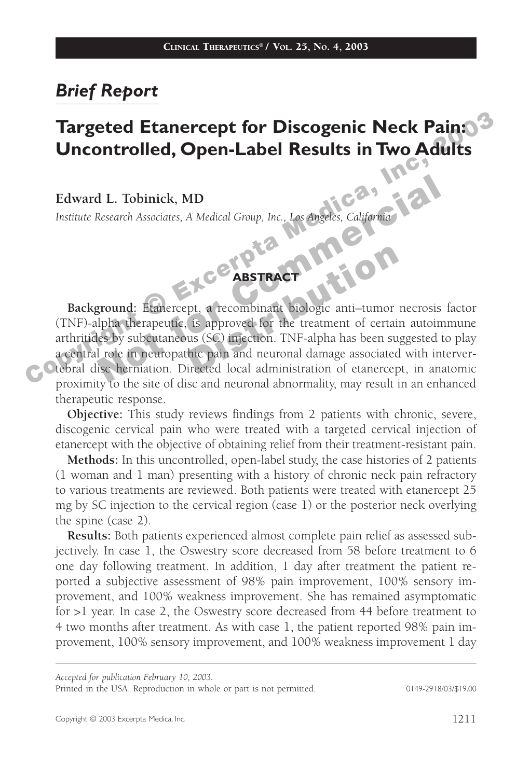# *Brief Report*

# Inc,  $\Gamma$ Targeted Etanercept for Discogenic Neck Pain: $\Gamma$ **Uncontrolled, Open-Label Results in Two Adults**

**Edward L. Tobinick, MD**

*Institute Research Associates, A Medical Group, Inc., Los Angeles, California*

#### **ABSTRACT**

Edward L. Tobinick, MD<br>
Institute Research Associates, A Medical Group, Inc., Los Angeles, California<br>
Background: Etanercept, a recombinant biologic anti-tumor necrosis<br>
(TNF)-alpha therapeutic, is approved for the treatm **Background:** Etanercept, a recombinant biologic anti–tumor necrosis factor (TNF)-alpha therapeutic, is approved for the treatment of certain autoimmune arthritides by subcutaneous (SC) injection. TNF-alpha has been suggested to play a central role in neuropathic pain and neuronal damage associated with intervertebral disc herniation. Directed local administration of etanercept, in anatomic proximity to the site of disc and neuronal abnormality, may result in an enhanced therapeutic response.

**Objective:** This study reviews findings from 2 patients with chronic, severe, discogenic cervical pain who were treated with a targeted cervical injection of etanercept with the objective of obtaining relief from their treatment-resistant pain.

**Methods:** In this uncontrolled, open-label study, the case histories of 2 patients (1 woman and 1 man) presenting with a history of chronic neck pain refractory to various treatments are reviewed. Both patients were treated with etanercept 25 mg by SC injection to the cervical region (case 1) or the posterior neck overlying the spine (case 2).

**Results:** Both patients experienced almost complete pain relief as assessed subjectively. In case 1, the Oswestry score decreased from 58 before treatment to 6 one day following treatment. In addition, 1 day after treatment the patient reported a subjective assessment of 98% pain improvement, 100% sensory improvement, and 100% weakness improvement. She has remained asymptomatic for >1 year. In case 2, the Oswestry score decreased from 44 before treatment to 4 two months after treatment. As with case 1, the patient reported 98% pain improvement, 100% sensory improvement, and 100% weakness improvement 1 day

*Accepted for publication February 10, 2003.*

Printed in the USA. Reproduction in whole or part is not permitted. 0149-2918/03/\$19.00